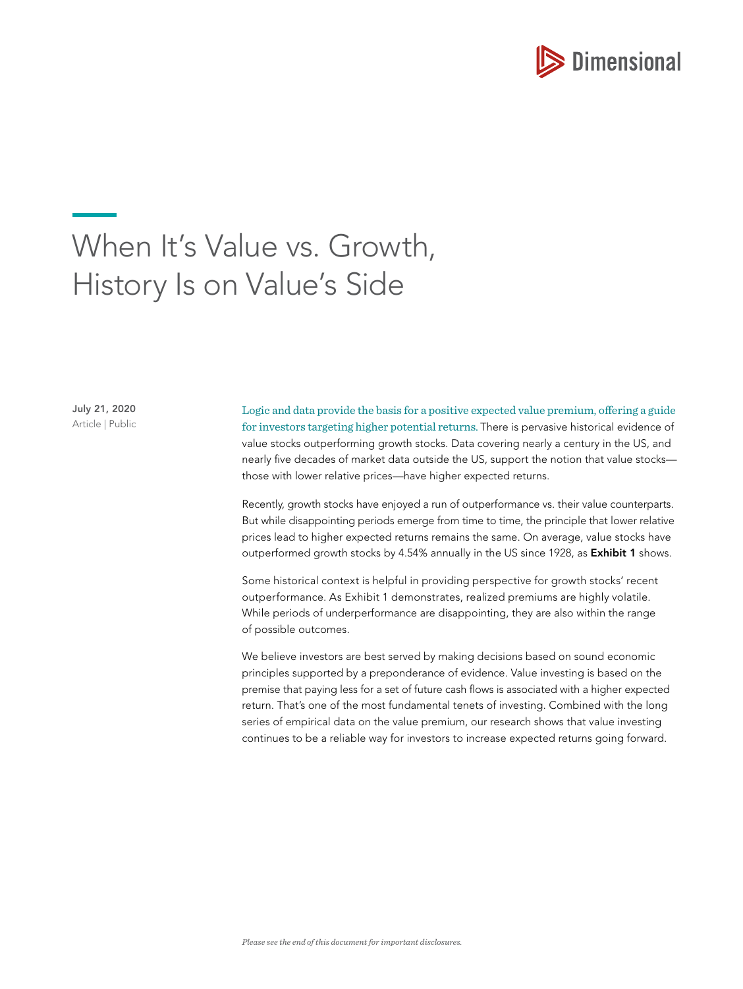

# When It's Value vs. Growth, History Is on Value's Side

July 21, 2020 Article | Public

Logic and data provide the basis for a positive expected value premium, offering a guide for investors targeting higher potential returns. There is pervasive historical evidence of value stocks outperforming growth stocks. Data covering nearly a century in the US, and nearly five decades of market data outside the US, support the notion that value stocks those with lower relative prices—have higher expected returns.

Recently, growth stocks have enjoyed a run of outperformance vs. their value counterparts. But while disappointing periods emerge from time to time, the principle that lower relative prices lead to higher expected returns remains the same. On average, value stocks have outperformed growth stocks by 4.54% annually in the US since 1928, as **Exhibit 1** shows.

Some historical context is helpful in providing perspective for growth stocks' recent outperformance. As Exhibit 1 demonstrates, realized premiums are highly volatile. While periods of underperformance are disappointing, they are also within the range of possible outcomes.

We believe investors are best served by making decisions based on sound economic principles supported by a preponderance of evidence. Value investing is based on the premise that paying less for a set of future cash flows is associated with a higher expected return. That's one of the most fundamental tenets of investing. Combined with the long series of empirical data on the value premium, our research shows that value investing continues to be a reliable way for investors to increase expected returns going forward.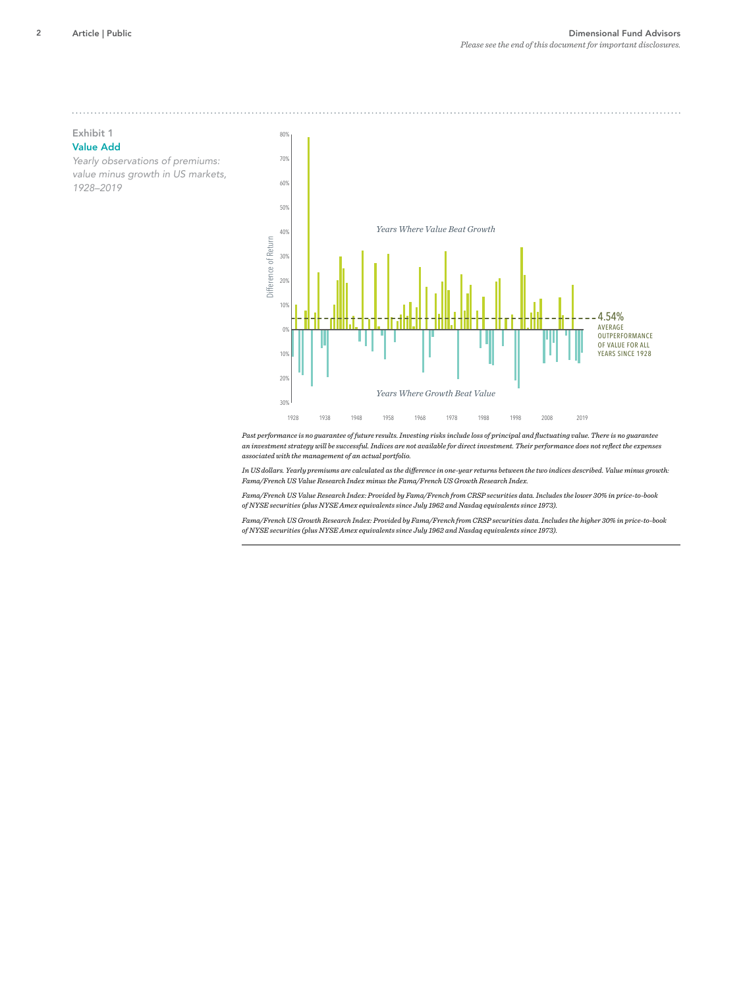# Exhibit 1 Value Add

*Yearly observations of premiums: value minus growth in US markets, 1928–2019*



*Past performance is no guarantee of future results. Investing risks include loss of principal and fluctuating value. There is no guarantee an investment strategy will be successful. Indices are not available for direct investment. Their performance does not reflect the expenses associated with the management of an actual portfolio.*

*In US dollars. Yearly premiums are calculated as the difference in one-year returns between the two indices described. Value minus growth: Fama/French US Value Research Index minus the Fama/French US Growth Research Index.*

*Fama/French US Value Research Index: Provided by Fama/French from CRSP securities data. Includes the lower 30% in price-to-book of NYSE securities (plus NYSE Amex equivalents since July 1962 and Nasdaq equivalents since 1973).*

*Fama/French US Growth Research Index: Provided by Fama/French from CRSP securities data. Includes the higher 30% in price-to-book of NYSE securities (plus NYSE Amex equivalents since July 1962 and Nasdaq equivalents since 1973).*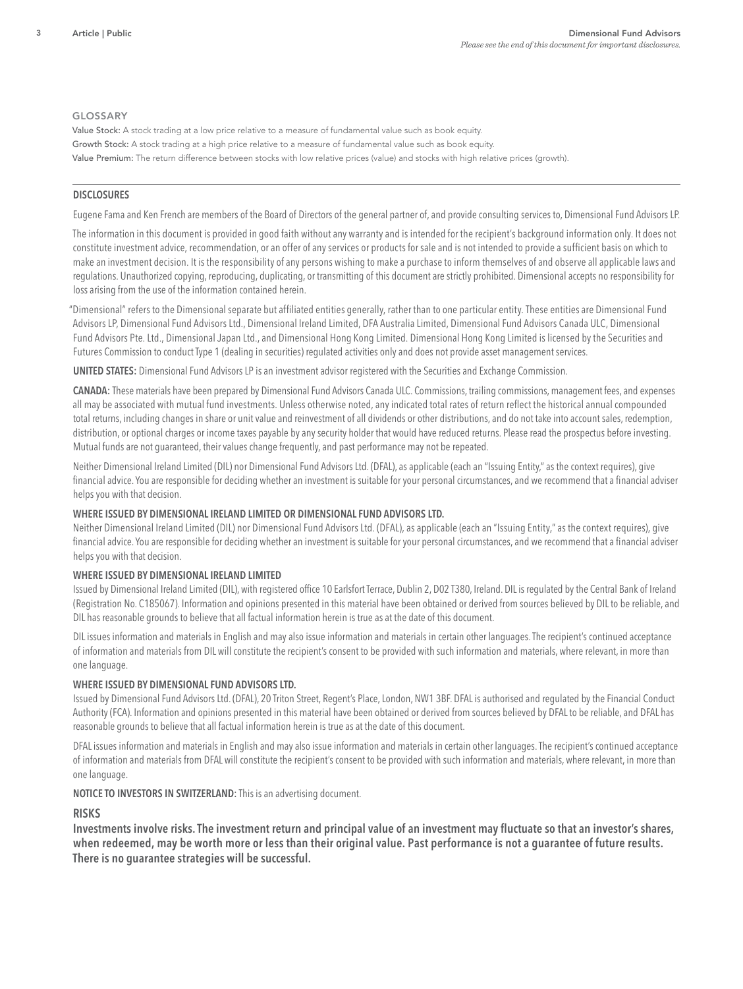# GLOSSARY

Value Stock: A stock trading at a low price relative to a measure of fundamental value such as book equity. Growth Stock: A stock trading at a high price relative to a measure of fundamental value such as book equity. Value Premium: The return difference between stocks with low relative prices (value) and stocks with high relative prices (growth).

# DISCLOSURES

Eugene Fama and Ken French are members of the Board of Directors of the general partner of, and provide consulting services to, Dimensional Fund Advisors LP.

The information in this document is provided in good faith without any warranty and is intended for the recipient's background information only. It does not constitute investment advice, recommendation, or an offer of any services or products for sale and is not intended to provide a sufficient basis on which to make an investment decision. It is the responsibility of any persons wishing to make a purchase to inform themselves of and observe all applicable laws and regulations. Unauthorized copying, reproducing, duplicating, or transmitting of this document are strictly prohibited. Dimensional accepts no responsibility for loss arising from the use of the information contained herein.

"Dimensional" refers to the Dimensional separate but affiliated entities generally, rather than to one particular entity. These entities are Dimensional Fund Advisors LP, Dimensional Fund Advisors Ltd., Dimensional Ireland Limited, DFA Australia Limited, Dimensional Fund Advisors Canada ULC, Dimensional Fund Advisors Pte. Ltd., Dimensional Japan Ltd., and Dimensional Hong Kong Limited. Dimensional Hong Kong Limited is licensed by the Securities and Futures Commission to conduct Type 1 (dealing in securities) regulated activities only and does not provide asset management services.

UNITED STATES: Dimensional Fund Advisors LP is an investment advisor registered with the Securities and Exchange Commission.

CANADA: These materials have been prepared by Dimensional Fund Advisors Canada ULC. Commissions, trailing commissions, management fees, and expenses all may be associated with mutual fund investments. Unless otherwise noted, any indicated total rates of return reflect the historical annual compounded total returns, including changes in share or unit value and reinvestment of all dividends or other distributions, and do not take into account sales, redemption, distribution, or optional charges or income taxes payable by any security holder that would have reduced returns. Please read the prospectus before investing. Mutual funds are not guaranteed, their values change frequently, and past performance may not be repeated.

Neither Dimensional Ireland Limited (DIL) nor Dimensional Fund Advisors Ltd. (DFAL), as applicable (each an "Issuing Entity," as the context requires), give financial advice. You are responsible for deciding whether an investment is suitable for your personal circumstances, and we recommend that a financial adviser helps you with that decision.

# WHERE ISSUED BY DIMENSIONAL IRELAND LIMITED OR DIMENSIONAL FUND ADVISORS LTD.

Neither Dimensional Ireland Limited (DIL) nor Dimensional Fund Advisors Ltd. (DFAL), as applicable (each an "Issuing Entity," as the context requires), give financial advice. You are responsible for deciding whether an investment is suitable for your personal circumstances, and we recommend that a financial adviser helps you with that decision.

# WHERE ISSUED BY DIMENSIONAL IRELAND LIMITED

Issued by Dimensional Ireland Limited (DIL), with registered office 10 Earlsfort Terrace, Dublin 2, D02 T380, Ireland. DIL is regulated by the Central Bank of Ireland (Registration No. C185067). Information and opinions presented in this material have been obtained or derived from sources believed by DIL to be reliable, and DIL has reasonable grounds to believe that all factual information herein is true as at the date of this document.

DIL issues information and materials in English and may also issue information and materials in certain other languages. The recipient's continued acceptance of information and materials from DIL will constitute the recipient's consent to be provided with such information and materials, where relevant, in more than one language.

# WHERE ISSUED BY DIMENSIONAL FUND ADVISORS LTD.

Issued by Dimensional Fund Advisors Ltd. (DFAL), 20 Triton Street, Regent's Place, London, NW1 3BF. DFAL is authorised and regulated by the Financial Conduct Authority (FCA). Information and opinions presented in this material have been obtained or derived from sources believed by DFAL to be reliable, and DFAL has reasonable grounds to believe that all factual information herein is true as at the date of this document.

DFAL issues information and materials in English and may also issue information and materials in certain other languages. The recipient's continued acceptance of information and materials from DFAL will constitute the recipient's consent to be provided with such information and materials, where relevant, in more than one language.

# NOTICE TO INVESTORS IN SWITZERLAND: This is an advertising document.

# RISKS

Investments involve risks. The investment return and principal value of an investment may fluctuate so that an investor's shares, when redeemed, may be worth more or less than their original value. Past performance is not a guarantee of future results. There is no guarantee strategies will be successful.